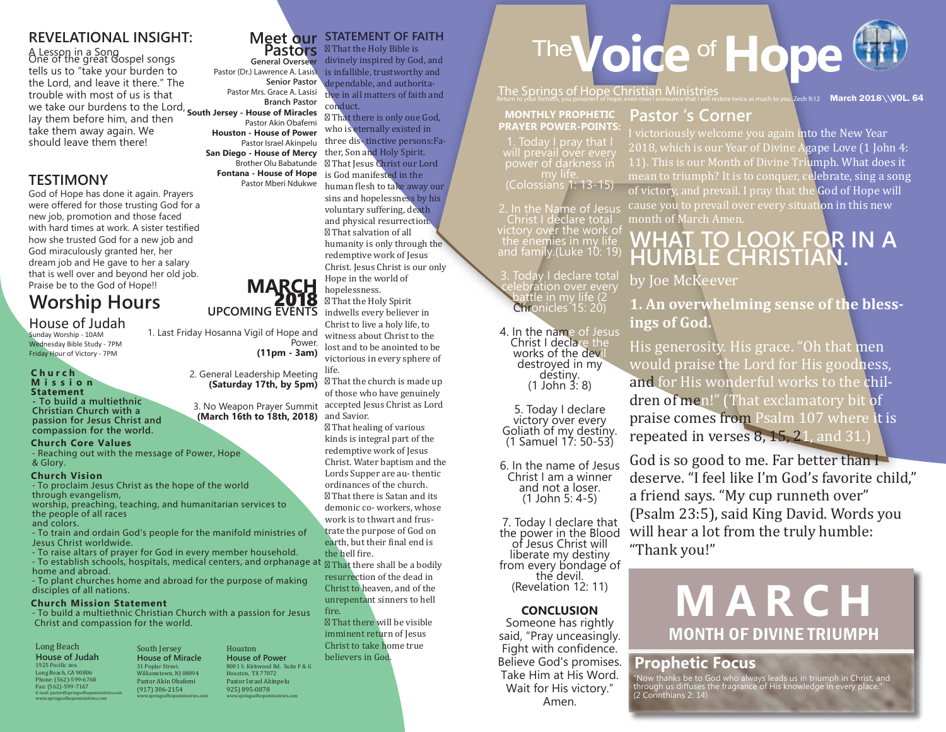#### **REVELATIONAL INSIGHT:**

A Lesson in a Song<br>One of the great Gospel songs tells us to "take your burden to the Lord, and leave it there." The trouble with most of us is that Branch Pastor<br>We take our burdens to the Lord, **South Jersey, House of Miracles** lay them before him, and then take them away again. We should leave them there! **South Jersey - House of Miracles**

#### **TESTIMONY**

God of Hope has done it again. Prayers were offered for those trusting God for a new job, promotion and those faced with hard times at work. A sister testified how she trusted God for a new job and God miraculously granted her, her dream job and He gave to her a salary that is well over and beyond her old job. Praise be to the God of Hope!!

## **Worship Hours**

#### House of Judah

Sunday Worship - 10AM Wednesday Bible Study - 7PM Friday Hour of Victory - 7PM

#### **C h u r c h M i s s i o n Statement**

**- To build a multiethnic Christian Church with a passion for Jesus Christ and compassion for the world.**

#### **Church Core Values**

- Reaching out with the message of Power, Hope & Glory.

#### **Church Vision**

- To proclaim Jesus Christ as the hope of the world through evangelism,

worship, preaching, teaching, and humanitarian services to the people of all races and colors.

- To train and ordain God's people for the manifold ministries of Jesus Christ worldwide.

- To raise altars of prayer for God in every member household. - To establish schools, hospitals, medical centers, and orphanage at home and abroad.

- To plant churches home and abroad for the purpose of making disciples of all nations.

#### **Church Mission Statement**

- To build a multiethnic Christian Church with a passion for Jesus Christ and compassion for the world.

#### Long Beach **House of Judah** 1925 Pacific ave. Long Beach, CA 90806 Phone: (562)-599-6768 Fax: (562)-599-7167 E-mail: pastor@springso�hopeministries.com www.springso�hopeministries.com

South Jersey **House of Miracle**<br>31 Poplar Street 31 Poplar Street. Williamstown, NJ 08094 Pastor Akin Obafemi (917) 306-2154 www.springso�hopeministries.com Houston **House of Power** 8001 S. Kirkwood Rd. Suite F & G Houston, TX 77072 Pastor Israel Akinpelu 925) 895-0878 www.springso�hopeministries.com

#### **Meet our STATEMENT OF FAITH Pastors**

**General Overseer** divinely inspired by God, and Pastor (Dr.) Lawrence A. Lasisi **Senior Pastor** Pastor Mrs. Grace A. Lasisi That the Holy Bible is is infallible, trustworthy and dependable, and authoritative in all matters of faith and conduct.

Pastor Israel Akinpelu **San Diego - House of Mercy Fontana - House of Hope** Pastor Mberi Ndukwe That there is only one God, who is eternally existed in three dis- tinctive persons:Father, Son and Holy Spirit. That Jesus Christ our Lord is God manifested in the human flesh to take away our sins and hopelessness by his voluntary suffering, death and physical resurrection. That salvation of all humanity is only through the redemptive work of Jesus Christ. Jesus Christ is our only Hope in the world of hopelessness. That the Holy Spirit indwells every believer in Christ to live a holy life, to

witness about Christ to the lost and to be anointed to be victorious in every sphere of life.

 That the church is made up of those who have genuinely accepted Jesus Christ as Lord

 That healing of various kinds is integral part of the redemptive work of Jesus Christ. Water baptism and the Lords Supper are au- thentic ordinances of the church. That there is Satan and its demonic co- workers, whose work is to thwart and frustrate the purpose of God on earth, but their final end is the hell �ire.

 That there shall be a bodily resurrection of the dead in Christ to heaven, and of the unrepentant sinners to hell fire.

 That there will be visible imminent return of Jesus Christ to take home true believers in God.

# The **Voice** of Hope

The Springs of Hope Christian Ministries<br>Return to your fortress, you prisoners of hope; even now I announce that I will restore twice as much to you. Zech 9:12 March 2018\\VOL. 64

#### **MONTHLY PROPHETIC PRAYER POWER-POINTS:**

1. Today I pray that power of darkness inْ<br>my life.<br>(Colossians 1: 13-15)

2. In the Name of Jesus Christ I declare total victory over the work of the enemies in my life and family.(Luke 10: 19)

3. Today I declare total celebration over every battle in my life (2 Chronicles<sup>15:</sup> 20)

4. In the name of Jesus Christ I declare the works of the devil<br>destroyed in my destiny.<br>(1 John 3: 8)

5. Today I declare Goliath of my destiny. (1 Samuel 17: 50-53)

6. In the name of Jesus Christ I am a winner and not a loser. (1 John 5: 4-5)

7. Today I declare that the power in the Blood of Jesus Christ will liberate my destiny from every bondage of<br>the devil. (Revelation 12: 11)

#### **CONCLUSION**

Someone has rightly said, "Pray unceasingly. Fight with confidence. Believe God's promises. Take Him at His Word. Wait for His victory." Amen.

## **Pastor 's Corner**

I victoriously welcome you again into the New Year 2018, which is our Year of Divine Agape Love (1 John 4: 11). This is our Month of Divine Triumph. What does it mean to triumph? It is to conquer, celebrate, sing a song of victory, and prevail. I pray that the God of Hope will cause you to prevail over every situation in this new month of March Amen.

## **WHAT TO LOOK FOR IN A HUMBLE CHRISTIAN.**

by Joe McKeever

### **1. An overwhelming sense of the blessings of God.**

His generosity. His grace. "Oh that men would praise the Lord for His goodness, and for His wonderful works to the children of men!" (That exclamatory bit of praise comes from Psalm 107 where it is repeated in verses 8, 15, 21, and 31.)

God is so good to me. Far better than I deserve. "I feel like I'm God's favorite child," a friend says. "My cup runneth over" (Psalm 23:5), said King David. Words you will hear a lot from the truly humble: "Thank you!"

# MONTH OF DIVINE TRIUMPH **MARCH**

#### **Prophetic Focus**

"Now thanks be to God who always leads us in triumph in Christ, and through us diffuses the fragrance of His knowledge in every place." (2 Corinthians 2: 14)

## **MARCH**<br>2018<br>UPCOMING EVENTS 1. Last Friday Hosanna Vigil of Hope and Power.

**(11pm - 3am)**

Pastor Akin Obafemi **Houston - House of Power**

Brother Olu Babatunde

2. General Leadership Meeting **(Saturday 17th, by 5pm)**

3. No Weapon Prayer Summit **(March 16th to 18th, 2018)** and Savior.